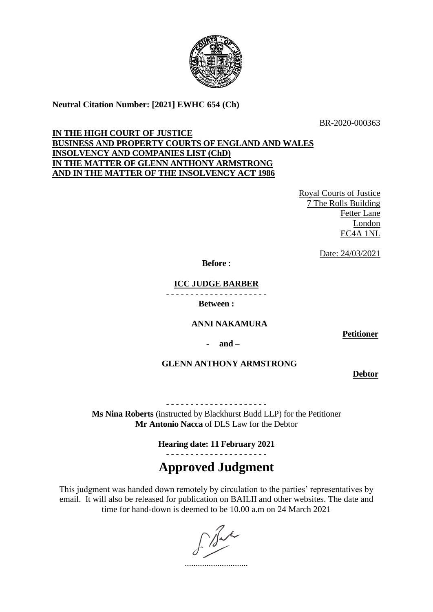

# **Neutral Citation Number: [2021] EWHC 654 (Ch)**

BR-2020-000363

## **IN THE HIGH COURT OF JUSTICE BUSINESS AND PROPERTY COURTS OF ENGLAND AND WALES INSOLVENCY AND COMPANIES LIST (ChD) IN THE MATTER OF GLENN ANTHONY ARMSTRONG AND IN THE MATTER OF THE INSOLVENCY ACT 1986**

Royal Courts of Justice 7 The Rolls Building Fetter Lane London EC4A 1NL

Date: 24/03/2021

**Before** :

**ICC JUDGE BARBER**

- - - - - - - - - - - - - - - - - - - - -

**Between :**

## **ANNI NAKAMURA**

- **and –**

**GLENN ANTHONY ARMSTRONG**

**Debtor**

**Petitioner**

- - - - - - - - - - - - - - - - - - - - -

**Ms Nina Roberts** (instructed by Blackhurst Budd LLP) for the Petitioner **Mr Antonio Nacca** of DLS Law for the Debtor

> **Hearing date: 11 February 2021** - - - - - - - - - - - - - - - - - - - - -

# **Approved Judgment**

This judgment was handed down remotely by circulation to the parties' representatives by email. It will also be released for publication on BAILII and other websites. The date and time for hand-down is deemed to be 10.00 a.m on 24 March 2021

.............................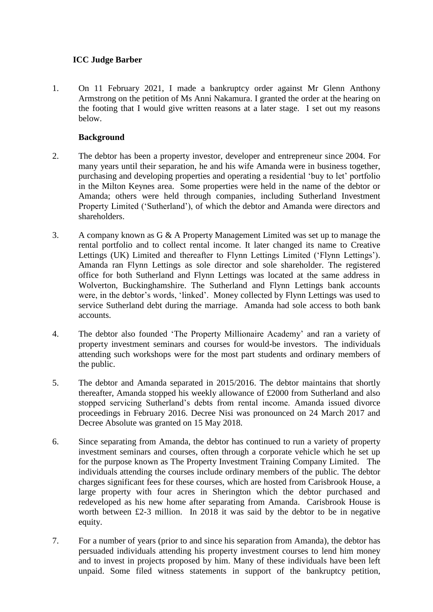# **ICC Judge Barber**

1. On 11 February 2021, I made a bankruptcy order against Mr Glenn Anthony Armstrong on the petition of Ms Anni Nakamura. I granted the order at the hearing on the footing that I would give written reasons at a later stage. I set out my reasons below.

## **Background**

- 2. The debtor has been a property investor, developer and entrepreneur since 2004. For many years until their separation, he and his wife Amanda were in business together, purchasing and developing properties and operating a residential 'buy to let' portfolio in the Milton Keynes area. Some properties were held in the name of the debtor or Amanda; others were held through companies, including Sutherland Investment Property Limited ('Sutherland'), of which the debtor and Amanda were directors and shareholders.
- 3. A company known as G & A Property Management Limited was set up to manage the rental portfolio and to collect rental income. It later changed its name to Creative Lettings (UK) Limited and thereafter to Flynn Lettings Limited ('Flynn Lettings'). Amanda ran Flynn Lettings as sole director and sole shareholder. The registered office for both Sutherland and Flynn Lettings was located at the same address in Wolverton, Buckinghamshire. The Sutherland and Flynn Lettings bank accounts were, in the debtor's words, 'linked'. Money collected by Flynn Lettings was used to service Sutherland debt during the marriage. Amanda had sole access to both bank accounts.
- 4. The debtor also founded 'The Property Millionaire Academy' and ran a variety of property investment seminars and courses for would-be investors. The individuals attending such workshops were for the most part students and ordinary members of the public.
- 5. The debtor and Amanda separated in 2015/2016. The debtor maintains that shortly thereafter, Amanda stopped his weekly allowance of £2000 from Sutherland and also stopped servicing Sutherland's debts from rental income. Amanda issued divorce proceedings in February 2016. Decree Nisi was pronounced on 24 March 2017 and Decree Absolute was granted on 15 May 2018.
- 6. Since separating from Amanda, the debtor has continued to run a variety of property investment seminars and courses, often through a corporate vehicle which he set up for the purpose known as The Property Investment Training Company Limited. The individuals attending the courses include ordinary members of the public. The debtor charges significant fees for these courses, which are hosted from Carisbrook House, a large property with four acres in Sherington which the debtor purchased and redeveloped as his new home after separating from Amanda. Carisbrook House is worth between £2-3 million. In 2018 it was said by the debtor to be in negative equity.
- 7. For a number of years (prior to and since his separation from Amanda), the debtor has persuaded individuals attending his property investment courses to lend him money and to invest in projects proposed by him. Many of these individuals have been left unpaid. Some filed witness statements in support of the bankruptcy petition,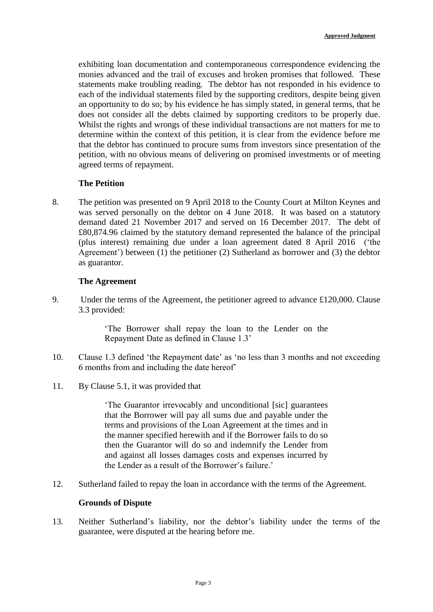exhibiting loan documentation and contemporaneous correspondence evidencing the monies advanced and the trail of excuses and broken promises that followed. These statements make troubling reading. The debtor has not responded in his evidence to each of the individual statements filed by the supporting creditors, despite being given an opportunity to do so; by his evidence he has simply stated, in general terms, that he does not consider all the debts claimed by supporting creditors to be properly due. Whilst the rights and wrongs of these individual transactions are not matters for me to determine within the context of this petition, it is clear from the evidence before me that the debtor has continued to procure sums from investors since presentation of the petition, with no obvious means of delivering on promised investments or of meeting agreed terms of repayment.

#### **The Petition**

8. The petition was presented on 9 April 2018 to the County Court at Milton Keynes and was served personally on the debtor on 4 June 2018. It was based on a statutory demand dated 21 November 2017 and served on 16 December 2017. The debt of £80,874.96 claimed by the statutory demand represented the balance of the principal (plus interest) remaining due under a loan agreement dated 8 April 2016 ('the Agreement') between (1) the petitioner (2) Sutherland as borrower and (3) the debtor as guarantor.

#### **The Agreement**

9. Under the terms of the Agreement, the petitioner agreed to advance £120,000. Clause 3.3 provided:

> 'The Borrower shall repay the loan to the Lender on the Repayment Date as defined in Clause 1.3'

- 10. Clause 1.3 defined 'the Repayment date' as 'no less than 3 months and not exceeding 6 months from and including the date hereof'
- 11. By Clause 5.1, it was provided that

'The Guarantor irrevocably and unconditional [sic] guarantees that the Borrower will pay all sums due and payable under the terms and provisions of the Loan Agreement at the times and in the manner specified herewith and if the Borrower fails to do so then the Guarantor will do so and indemnify the Lender from and against all losses damages costs and expenses incurred by the Lender as a result of the Borrower's failure.'

12. Sutherland failed to repay the loan in accordance with the terms of the Agreement.

#### **Grounds of Dispute**

13. Neither Sutherland's liability, nor the debtor's liability under the terms of the guarantee, were disputed at the hearing before me.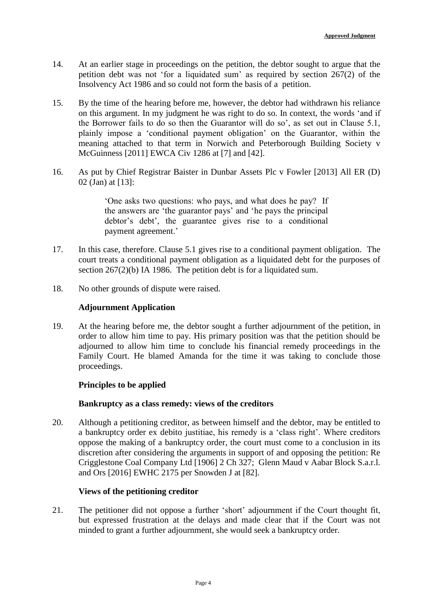- 14. At an earlier stage in proceedings on the petition, the debtor sought to argue that the petition debt was not 'for a liquidated sum' as required by section 267(2) of the Insolvency Act 1986 and so could not form the basis of a petition.
- 15. By the time of the hearing before me, however, the debtor had withdrawn his reliance on this argument. In my judgment he was right to do so. In context, the words 'and if the Borrower fails to do so then the Guarantor will do so', as set out in Clause 5.1, plainly impose a 'conditional payment obligation' on the Guarantor, within the meaning attached to that term in Norwich and Peterborough Building Society v McGuinness [2011] EWCA Civ 1286 at [7] and [42].
- 16. As put by Chief Registrar Baister in Dunbar Assets Plc v Fowler [2013] All ER (D) 02 (Jan) at [13]:

'One asks two questions: who pays, and what does he pay? If the answers are 'the guarantor pays' and 'he pays the principal debtor's debt', the guarantee gives rise to a conditional payment agreement.'

- 17. In this case, therefore. Clause 5.1 gives rise to a conditional payment obligation. The court treats a conditional payment obligation as a liquidated debt for the purposes of section 267(2)(b) IA 1986. The petition debt is for a liquidated sum.
- 18. No other grounds of dispute were raised.

#### **Adjournment Application**

19. At the hearing before me, the debtor sought a further adjournment of the petition, in order to allow him time to pay. His primary position was that the petition should be adjourned to allow him time to conclude his financial remedy proceedings in the Family Court. He blamed Amanda for the time it was taking to conclude those proceedings.

## **Principles to be applied**

## **Bankruptcy as a class remedy: views of the creditors**

20. Although a petitioning creditor, as between himself and the debtor, may be entitled to a bankruptcy order ex debito justitiae, his remedy is a 'class right'. Where creditors oppose the making of a bankruptcy order, the court must come to a conclusion in its discretion after considering the arguments in support of and opposing the petition: Re Crigglestone Coal Company Ltd [1906] 2 Ch 327; Glenn Maud v Aabar Block S.a.r.l. and Ors [2016] EWHC 2175 per Snowden J at [82].

#### **Views of the petitioning creditor**

21. The petitioner did not oppose a further 'short' adjournment if the Court thought fit, but expressed frustration at the delays and made clear that if the Court was not minded to grant a further adjournment, she would seek a bankruptcy order.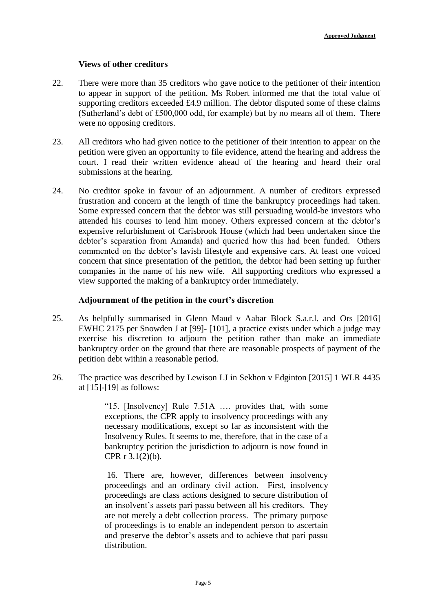#### **Views of other creditors**

- 22. There were more than 35 creditors who gave notice to the petitioner of their intention to appear in support of the petition. Ms Robert informed me that the total value of supporting creditors exceeded £4.9 million. The debtor disputed some of these claims (Sutherland's debt of £500,000 odd, for example) but by no means all of them. There were no opposing creditors.
- 23. All creditors who had given notice to the petitioner of their intention to appear on the petition were given an opportunity to file evidence, attend the hearing and address the court. I read their written evidence ahead of the hearing and heard their oral submissions at the hearing.
- 24. No creditor spoke in favour of an adjournment. A number of creditors expressed frustration and concern at the length of time the bankruptcy proceedings had taken. Some expressed concern that the debtor was still persuading would-be investors who attended his courses to lend him money. Others expressed concern at the debtor's expensive refurbishment of Carisbrook House (which had been undertaken since the debtor's separation from Amanda) and queried how this had been funded. Others commented on the debtor's lavish lifestyle and expensive cars. At least one voiced concern that since presentation of the petition, the debtor had been setting up further companies in the name of his new wife. All supporting creditors who expressed a view supported the making of a bankruptcy order immediately.

#### **Adjournment of the petition in the court's discretion**

- 25. As helpfully summarised in Glenn Maud v Aabar Block S.a.r.l. and Ors [2016] EWHC 2175 per Snowden J at [99]- [101], a practice exists under which a judge may exercise his discretion to adjourn the petition rather than make an immediate bankruptcy order on the ground that there are reasonable prospects of payment of the petition debt within a reasonable period.
- 26. The practice was described by Lewison LJ in Sekhon v Edginton [2015] 1 WLR 4435 at [15]-[19] as follows:

"15. [Insolvency] Rule 7.51A …. provides that, with some exceptions, the CPR apply to insolvency proceedings with any necessary modifications, except so far as inconsistent with the Insolvency Rules. It seems to me, therefore, that in the case of a bankruptcy petition the jurisdiction to adjourn is now found in CPR r 3.1(2)(b).

16. There are, however, differences between insolvency proceedings and an ordinary civil action. First, insolvency proceedings are class actions designed to secure distribution of an insolvent's assets pari passu between all his creditors. They are not merely a debt collection process. The primary purpose of proceedings is to enable an independent person to ascertain and preserve the debtor's assets and to achieve that pari passu distribution.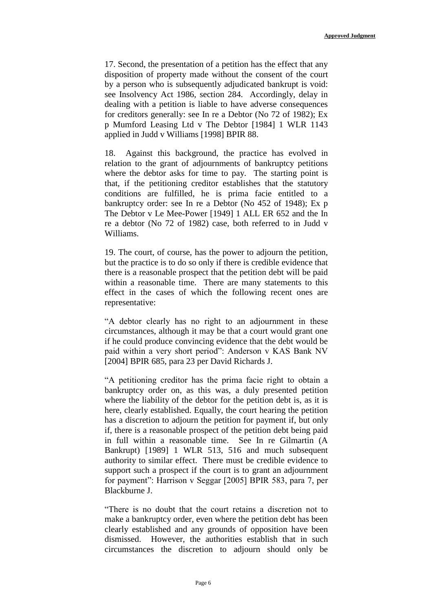17. Second, the presentation of a petition has the effect that any disposition of property made without the consent of the court by a person who is subsequently adjudicated bankrupt is void: see Insolvency Act 1986, section 284. Accordingly, delay in dealing with a petition is liable to have adverse consequences for creditors generally: see In re a Debtor (No 72 of 1982); Ex p Mumford Leasing Ltd v The Debtor [1984] 1 WLR 1143 applied in Judd v Williams [1998] BPIR 88.

18. Against this background, the practice has evolved in relation to the grant of adjournments of bankruptcy petitions where the debtor asks for time to pay. The starting point is that, if the petitioning creditor establishes that the statutory conditions are fulfilled, he is prima facie entitled to a bankruptcy order: see In re a Debtor (No 452 of 1948); Ex p The Debtor v Le Mee-Power [1949] 1 ALL ER 652 and the In re a debtor (No 72 of 1982) case, both referred to in Judd v Williams.

19. The court, of course, has the power to adjourn the petition, but the practice is to do so only if there is credible evidence that there is a reasonable prospect that the petition debt will be paid within a reasonable time. There are many statements to this effect in the cases of which the following recent ones are representative:

"A debtor clearly has no right to an adjournment in these circumstances, although it may be that a court would grant one if he could produce convincing evidence that the debt would be paid within a very short period": Anderson v KAS Bank NV [2004] BPIR 685, para 23 per David Richards J.

"A petitioning creditor has the prima facie right to obtain a bankruptcy order on, as this was, a duly presented petition where the liability of the debtor for the petition debt is, as it is here, clearly established. Equally, the court hearing the petition has a discretion to adjourn the petition for payment if, but only if, there is a reasonable prospect of the petition debt being paid in full within a reasonable time. See In re Gilmartin (A Bankrupt) [1989] 1 WLR 513, 516 and much subsequent authority to similar effect. There must be credible evidence to support such a prospect if the court is to grant an adjournment for payment": Harrison v Seggar [2005] BPIR 583, para 7, per Blackburne J.

"There is no doubt that the court retains a discretion not to make a bankruptcy order, even where the petition debt has been clearly established and any grounds of opposition have been dismissed. However, the authorities establish that in such circumstances the discretion to adjourn should only be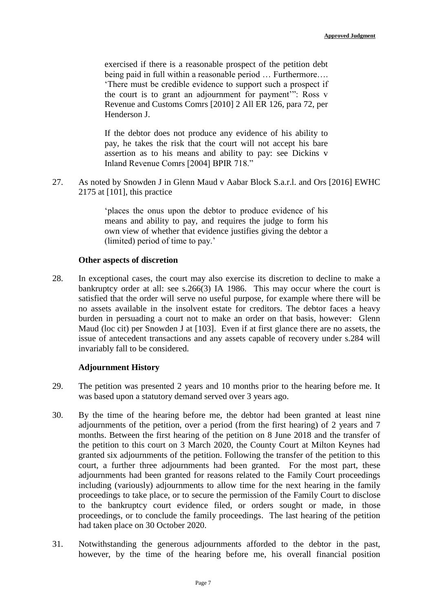exercised if there is a reasonable prospect of the petition debt being paid in full within a reasonable period … Furthermore…. 'There must be credible evidence to support such a prospect if the court is to grant an adjournment for payment'": Ross v Revenue and Customs Comrs [2010] 2 All ER 126, para 72, per Henderson J.

If the debtor does not produce any evidence of his ability to pay, he takes the risk that the court will not accept his bare assertion as to his means and ability to pay: see Dickins v Inland Revenue Comrs [2004] BPIR 718."

27. As noted by Snowden J in Glenn Maud v Aabar Block S.a.r.l. and Ors [2016] EWHC 2175 at [101], this practice

> 'places the onus upon the debtor to produce evidence of his means and ability to pay, and requires the judge to form his own view of whether that evidence justifies giving the debtor a (limited) period of time to pay.'

#### **Other aspects of discretion**

28. In exceptional cases, the court may also exercise its discretion to decline to make a bankruptcy order at all: see s.266(3) IA 1986. This may occur where the court is satisfied that the order will serve no useful purpose, for example where there will be no assets available in the insolvent estate for creditors. The debtor faces a heavy burden in persuading a court not to make an order on that basis, however: Glenn Maud (loc cit) per Snowden J at [103]. Even if at first glance there are no assets, the issue of antecedent transactions and any assets capable of recovery under s.284 will invariably fall to be considered.

#### **Adjournment History**

- 29. The petition was presented 2 years and 10 months prior to the hearing before me. It was based upon a statutory demand served over 3 years ago.
- 30. By the time of the hearing before me, the debtor had been granted at least nine adjournments of the petition, over a period (from the first hearing) of 2 years and 7 months. Between the first hearing of the petition on 8 June 2018 and the transfer of the petition to this court on 3 March 2020, the County Court at Milton Keynes had granted six adjournments of the petition. Following the transfer of the petition to this court, a further three adjournments had been granted. For the most part, these adjournments had been granted for reasons related to the Family Court proceedings including (variously) adjournments to allow time for the next hearing in the family proceedings to take place, or to secure the permission of the Family Court to disclose to the bankruptcy court evidence filed, or orders sought or made, in those proceedings, or to conclude the family proceedings. The last hearing of the petition had taken place on 30 October 2020.
- 31. Notwithstanding the generous adjournments afforded to the debtor in the past, however, by the time of the hearing before me, his overall financial position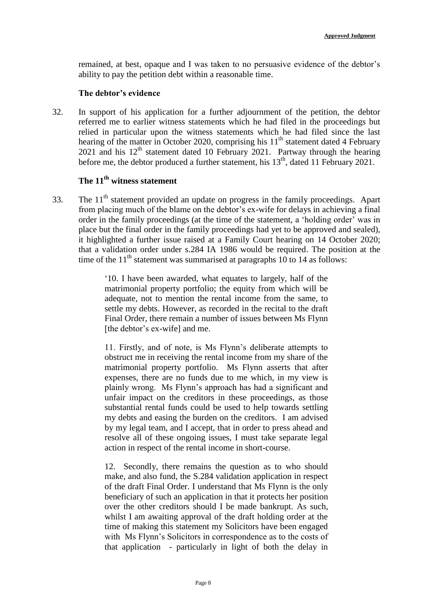remained, at best, opaque and I was taken to no persuasive evidence of the debtor's ability to pay the petition debt within a reasonable time.

#### **The debtor's evidence**

32. In support of his application for a further adjournment of the petition, the debtor referred me to earlier witness statements which he had filed in the proceedings but relied in particular upon the witness statements which he had filed since the last hearing of the matter in October 2020, comprising his  $11<sup>th</sup>$  statement dated 4 February 2021 and his  $12<sup>th</sup>$  statement dated 10 February 2021. Partway through the hearing before me, the debtor produced a further statement, his  $13<sup>th</sup>$ , dated 11 February 2021.

## **The 11th witness statement**

33. The 11<sup>th</sup> statement provided an update on progress in the family proceedings. Apart from placing much of the blame on the debtor's ex-wife for delays in achieving a final order in the family proceedings (at the time of the statement, a 'holding order' was in place but the final order in the family proceedings had yet to be approved and sealed), it highlighted a further issue raised at a Family Court hearing on 14 October 2020; that a validation order under s.284 IA 1986 would be required. The position at the time of the  $11<sup>th</sup>$  statement was summarised at paragraphs 10 to 14 as follows:

> '10. I have been awarded, what equates to largely, half of the matrimonial property portfolio; the equity from which will be adequate, not to mention the rental income from the same, to settle my debts. However, as recorded in the recital to the draft Final Order, there remain a number of issues between Ms Flynn [the debtor's ex-wife] and me.

> 11. Firstly, and of note, is Ms Flynn's deliberate attempts to obstruct me in receiving the rental income from my share of the matrimonial property portfolio. Ms Flynn asserts that after expenses, there are no funds due to me which, in my view is plainly wrong. Ms Flynn's approach has had a significant and unfair impact on the creditors in these proceedings, as those substantial rental funds could be used to help towards settling my debts and easing the burden on the creditors. I am advised by my legal team, and I accept, that in order to press ahead and resolve all of these ongoing issues, I must take separate legal action in respect of the rental income in short-course.

> 12. Secondly, there remains the question as to who should make, and also fund, the S.284 validation application in respect of the draft Final Order. I understand that Ms Flynn is the only beneficiary of such an application in that it protects her position over the other creditors should I be made bankrupt. As such, whilst I am awaiting approval of the draft holding order at the time of making this statement my Solicitors have been engaged with Ms Flynn's Solicitors in correspondence as to the costs of that application - particularly in light of both the delay in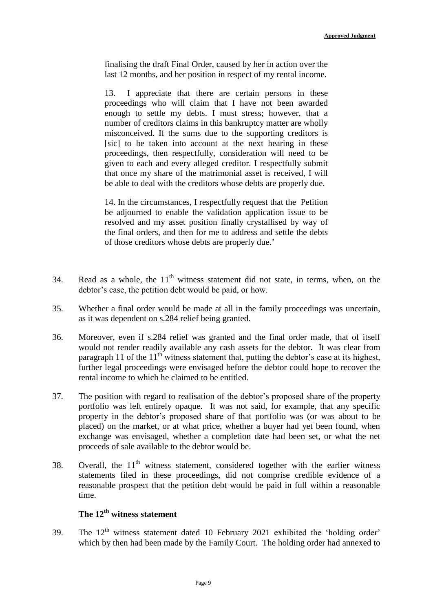finalising the draft Final Order, caused by her in action over the last 12 months, and her position in respect of my rental income.

13. I appreciate that there are certain persons in these proceedings who will claim that I have not been awarded enough to settle my debts. I must stress; however, that a number of creditors claims in this bankruptcy matter are wholly misconceived. If the sums due to the supporting creditors is [sic] to be taken into account at the next hearing in these proceedings, then respectfully, consideration will need to be given to each and every alleged creditor. I respectfully submit that once my share of the matrimonial asset is received, I will be able to deal with the creditors whose debts are properly due.

14. In the circumstances, I respectfully request that the Petition be adjourned to enable the validation application issue to be resolved and my asset position finally crystallised by way of the final orders, and then for me to address and settle the debts of those creditors whose debts are properly due.'

- 34. Read as a whole, the  $11<sup>th</sup>$  witness statement did not state, in terms, when, on the debtor's case, the petition debt would be paid, or how.
- 35. Whether a final order would be made at all in the family proceedings was uncertain, as it was dependent on s.284 relief being granted.
- 36. Moreover, even if s.284 relief was granted and the final order made, that of itself would not render readily available any cash assets for the debtor. It was clear from paragraph 11 of the  $11<sup>th</sup>$  witness statement that, putting the debtor's case at its highest, further legal proceedings were envisaged before the debtor could hope to recover the rental income to which he claimed to be entitled.
- 37. The position with regard to realisation of the debtor's proposed share of the property portfolio was left entirely opaque. It was not said, for example, that any specific property in the debtor's proposed share of that portfolio was (or was about to be placed) on the market, or at what price, whether a buyer had yet been found, when exchange was envisaged, whether a completion date had been set, or what the net proceeds of sale available to the debtor would be.
- 38. Overall, the  $11<sup>th</sup>$  witness statement, considered together with the earlier witness statements filed in these proceedings, did not comprise credible evidence of a reasonable prospect that the petition debt would be paid in full within a reasonable time.

# **The 12th witness statement**

39. The  $12<sup>th</sup>$  witness statement dated 10 February 2021 exhibited the 'holding order' which by then had been made by the Family Court. The holding order had annexed to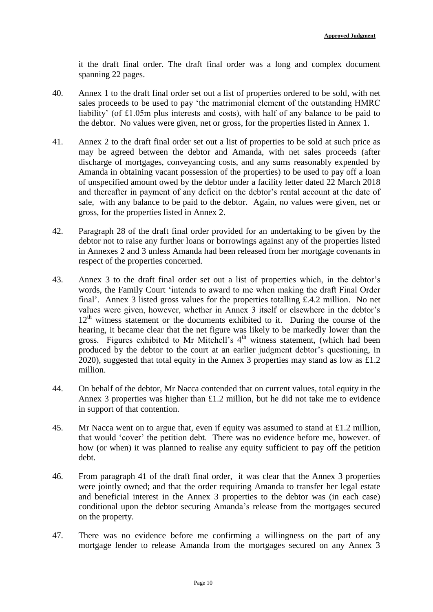it the draft final order. The draft final order was a long and complex document spanning 22 pages.

- 40. Annex 1 to the draft final order set out a list of properties ordered to be sold, with net sales proceeds to be used to pay 'the matrimonial element of the outstanding HMRC liability' (of £1.05m plus interests and costs), with half of any balance to be paid to the debtor. No values were given, net or gross, for the properties listed in Annex 1.
- 41. Annex 2 to the draft final order set out a list of properties to be sold at such price as may be agreed between the debtor and Amanda, with net sales proceeds (after discharge of mortgages, conveyancing costs, and any sums reasonably expended by Amanda in obtaining vacant possession of the properties) to be used to pay off a loan of unspecified amount owed by the debtor under a facility letter dated 22 March 2018 and thereafter in payment of any deficit on the debtor's rental account at the date of sale, with any balance to be paid to the debtor. Again, no values were given, net or gross, for the properties listed in Annex 2.
- 42. Paragraph 28 of the draft final order provided for an undertaking to be given by the debtor not to raise any further loans or borrowings against any of the properties listed in Annexes 2 and 3 unless Amanda had been released from her mortgage covenants in respect of the properties concerned.
- 43. Annex 3 to the draft final order set out a list of properties which, in the debtor's words, the Family Court 'intends to award to me when making the draft Final Order final'. Annex 3 listed gross values for the properties totalling £.4.2 million. No net values were given, however, whether in Annex 3 itself or elsewhere in the debtor's  $12<sup>th</sup>$  witness statement or the documents exhibited to it. During the course of the hearing, it became clear that the net figure was likely to be markedly lower than the gross. Figures exhibited to Mr Mitchell's  $4<sup>th</sup>$  witness statement, (which had been produced by the debtor to the court at an earlier judgment debtor's questioning, in 2020), suggested that total equity in the Annex 3 properties may stand as low as £1.2 million.
- 44. On behalf of the debtor, Mr Nacca contended that on current values, total equity in the Annex 3 properties was higher than £1.2 million, but he did not take me to evidence in support of that contention.
- 45. Mr Nacca went on to argue that, even if equity was assumed to stand at £1.2 million, that would 'cover' the petition debt. There was no evidence before me, however. of how (or when) it was planned to realise any equity sufficient to pay off the petition debt.
- 46. From paragraph 41 of the draft final order, it was clear that the Annex 3 properties were jointly owned; and that the order requiring Amanda to transfer her legal estate and beneficial interest in the Annex 3 properties to the debtor was (in each case) conditional upon the debtor securing Amanda's release from the mortgages secured on the property.
- 47. There was no evidence before me confirming a willingness on the part of any mortgage lender to release Amanda from the mortgages secured on any Annex 3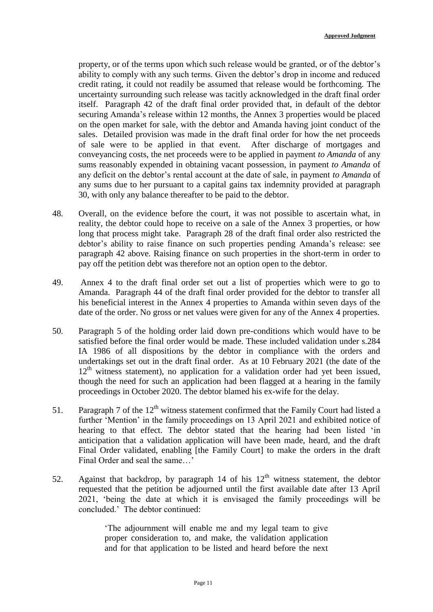property, or of the terms upon which such release would be granted, or of the debtor's ability to comply with any such terms. Given the debtor's drop in income and reduced credit rating, it could not readily be assumed that release would be forthcoming. The uncertainty surrounding such release was tacitly acknowledged in the draft final order itself. Paragraph 42 of the draft final order provided that, in default of the debtor securing Amanda's release within 12 months, the Annex 3 properties would be placed on the open market for sale, with the debtor and Amanda having joint conduct of the sales. Detailed provision was made in the draft final order for how the net proceeds of sale were to be applied in that event. After discharge of mortgages and conveyancing costs, the net proceeds were to be applied in payment *to Amanda* of any sums reasonably expended in obtaining vacant possession, in payment *to Amanda* of any deficit on the debtor's rental account at the date of sale, in payment *to Amanda* of any sums due to her pursuant to a capital gains tax indemnity provided at paragraph 30, with only any balance thereafter to be paid to the debtor.

- 48. Overall, on the evidence before the court, it was not possible to ascertain what, in reality, the debtor could hope to receive on a sale of the Annex 3 properties, or how long that process might take. Paragraph 28 of the draft final order also restricted the debtor's ability to raise finance on such properties pending Amanda's release: see paragraph 42 above. Raising finance on such properties in the short-term in order to pay off the petition debt was therefore not an option open to the debtor.
- 49. Annex 4 to the draft final order set out a list of properties which were to go to Amanda. Paragraph 44 of the draft final order provided for the debtor to transfer all his beneficial interest in the Annex 4 properties to Amanda within seven days of the date of the order. No gross or net values were given for any of the Annex 4 properties.
- 50. Paragraph 5 of the holding order laid down pre-conditions which would have to be satisfied before the final order would be made. These included validation under s.284 IA 1986 of all dispositions by the debtor in compliance with the orders and undertakings set out in the draft final order. As at 10 February 2021 (the date of the  $12<sup>th</sup>$  witness statement), no application for a validation order had yet been issued, though the need for such an application had been flagged at a hearing in the family proceedings in October 2020. The debtor blamed his ex-wife for the delay.
- 51. Paragraph 7 of the  $12<sup>th</sup>$  witness statement confirmed that the Family Court had listed a further 'Mention' in the family proceedings on 13 April 2021 and exhibited notice of hearing to that effect. The debtor stated that the hearing had been listed 'in anticipation that a validation application will have been made, heard, and the draft Final Order validated, enabling [the Family Court] to make the orders in the draft Final Order and seal the same…'
- 52. Against that backdrop, by paragraph 14 of his  $12<sup>th</sup>$  witness statement, the debtor requested that the petition be adjourned until the first available date after 13 April 2021, 'being the date at which it is envisaged the family proceedings will be concluded.' The debtor continued:

'The adjournment will enable me and my legal team to give proper consideration to, and make, the validation application and for that application to be listed and heard before the next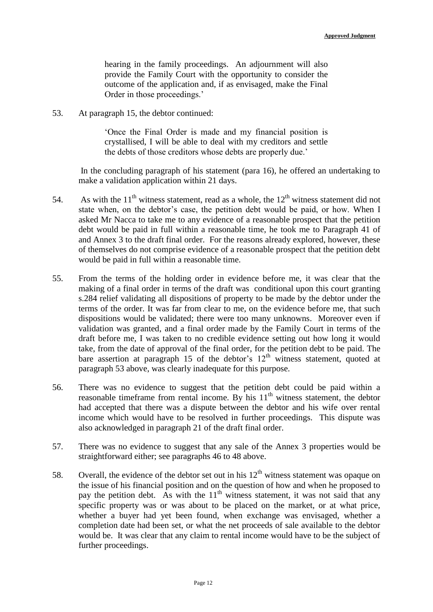hearing in the family proceedings. An adjournment will also provide the Family Court with the opportunity to consider the outcome of the application and, if as envisaged, make the Final Order in those proceedings.'

53. At paragraph 15, the debtor continued:

'Once the Final Order is made and my financial position is crystallised, I will be able to deal with my creditors and settle the debts of those creditors whose debts are properly due.'

In the concluding paragraph of his statement (para 16), he offered an undertaking to make a validation application within 21 days.

- 54. As with the  $11<sup>th</sup>$  witness statement, read as a whole, the  $12<sup>th</sup>$  witness statement did not state when, on the debtor's case, the petition debt would be paid, or how. When I asked Mr Nacca to take me to any evidence of a reasonable prospect that the petition debt would be paid in full within a reasonable time, he took me to Paragraph 41 of and Annex 3 to the draft final order. For the reasons already explored, however, these of themselves do not comprise evidence of a reasonable prospect that the petition debt would be paid in full within a reasonable time.
- 55. From the terms of the holding order in evidence before me, it was clear that the making of a final order in terms of the draft was conditional upon this court granting s.284 relief validating all dispositions of property to be made by the debtor under the terms of the order. It was far from clear to me, on the evidence before me, that such dispositions would be validated; there were too many unknowns. Moreover even if validation was granted, and a final order made by the Family Court in terms of the draft before me, I was taken to no credible evidence setting out how long it would take, from the date of approval of the final order, for the petition debt to be paid. The bare assertion at paragraph 15 of the debtor's  $12<sup>th</sup>$  witness statement, quoted at paragraph 53 above, was clearly inadequate for this purpose.
- 56. There was no evidence to suggest that the petition debt could be paid within a reasonable timeframe from rental income. By his  $11<sup>th</sup>$  witness statement, the debtor had accepted that there was a dispute between the debtor and his wife over rental income which would have to be resolved in further proceedings. This dispute was also acknowledged in paragraph 21 of the draft final order.
- 57. There was no evidence to suggest that any sale of the Annex 3 properties would be straightforward either; see paragraphs 46 to 48 above.
- 58. Overall, the evidence of the debtor set out in his  $12<sup>th</sup>$  witness statement was opaque on the issue of his financial position and on the question of how and when he proposed to pay the petition debt. As with the  $11<sup>th</sup>$  witness statement, it was not said that any specific property was or was about to be placed on the market, or at what price, whether a buyer had yet been found, when exchange was envisaged, whether a completion date had been set, or what the net proceeds of sale available to the debtor would be. It was clear that any claim to rental income would have to be the subject of further proceedings.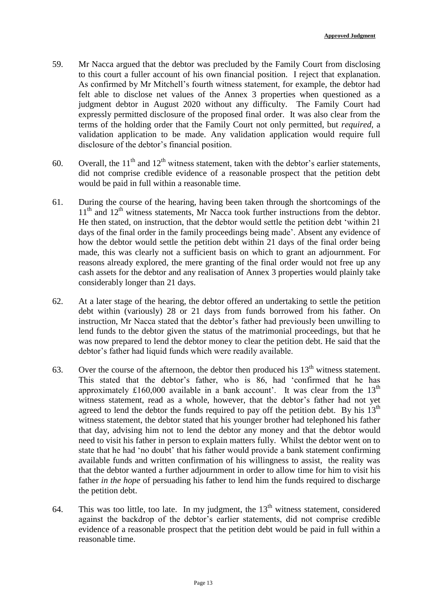- 59. Mr Nacca argued that the debtor was precluded by the Family Court from disclosing to this court a fuller account of his own financial position. I reject that explanation. As confirmed by Mr Mitchell's fourth witness statement, for example, the debtor had felt able to disclose net values of the Annex 3 properties when questioned as a judgment debtor in August 2020 without any difficulty. The Family Court had expressly permitted disclosure of the proposed final order. It was also clear from the terms of the holding order that the Family Court not only permitted, but *required*, a validation application to be made. Any validation application would require full disclosure of the debtor's financial position.
- 60. Overall, the  $11<sup>th</sup>$  and  $12<sup>th</sup>$  witness statement, taken with the debtor's earlier statements, did not comprise credible evidence of a reasonable prospect that the petition debt would be paid in full within a reasonable time.
- 61. During the course of the hearing, having been taken through the shortcomings of the  $11<sup>th</sup>$  and  $12<sup>th</sup>$  witness statements. Mr Nacca took further instructions from the debtor. He then stated, on instruction, that the debtor would settle the petition debt 'within 21 days of the final order in the family proceedings being made'. Absent any evidence of how the debtor would settle the petition debt within 21 days of the final order being made, this was clearly not a sufficient basis on which to grant an adjournment. For reasons already explored, the mere granting of the final order would not free up any cash assets for the debtor and any realisation of Annex 3 properties would plainly take considerably longer than 21 days.
- 62. At a later stage of the hearing, the debtor offered an undertaking to settle the petition debt within (variously) 28 or 21 days from funds borrowed from his father. On instruction, Mr Nacca stated that the debtor's father had previously been unwilling to lend funds to the debtor given the status of the matrimonial proceedings, but that he was now prepared to lend the debtor money to clear the petition debt. He said that the debtor's father had liquid funds which were readily available.
- 63. Over the course of the afternoon, the debtor then produced his  $13<sup>th</sup>$  witness statement. This stated that the debtor's father, who is 86, had 'confirmed that he has approximately £160,000 available in a bank account'. It was clear from the  $13<sup>th</sup>$ witness statement, read as a whole, however, that the debtor's father had not yet agreed to lend the debtor the funds required to pay off the petition debt. By his  $13<sup>th</sup>$ witness statement, the debtor stated that his younger brother had telephoned his father that day, advising him not to lend the debtor any money and that the debtor would need to visit his father in person to explain matters fully. Whilst the debtor went on to state that he had 'no doubt' that his father would provide a bank statement confirming available funds and written confirmation of his willingness to assist, the reality was that the debtor wanted a further adjournment in order to allow time for him to visit his father *in the hope* of persuading his father to lend him the funds required to discharge the petition debt.
- 64. This was too little, too late. In my judgment, the  $13<sup>th</sup>$  witness statement, considered against the backdrop of the debtor's earlier statements, did not comprise credible evidence of a reasonable prospect that the petition debt would be paid in full within a reasonable time.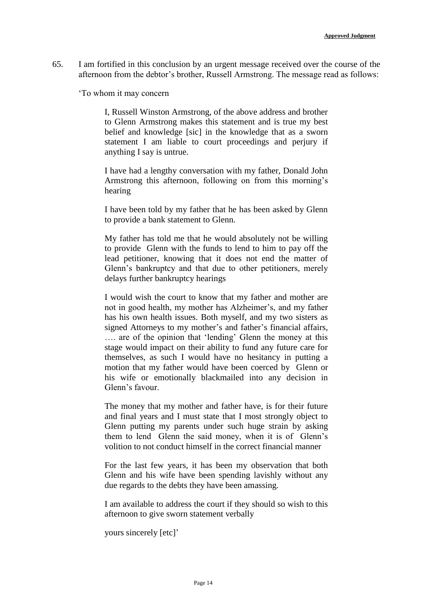65. I am fortified in this conclusion by an urgent message received over the course of the afternoon from the debtor's brother, Russell Armstrong. The message read as follows:

'To whom it may concern

I, Russell Winston Armstrong, of the above address and brother to Glenn Armstrong makes this statement and is true my best belief and knowledge [sic] in the knowledge that as a sworn statement I am liable to court proceedings and perjury if anything I say is untrue.

I have had a lengthy conversation with my father, Donald John Armstrong this afternoon, following on from this morning's hearing

I have been told by my father that he has been asked by Glenn to provide a bank statement to Glenn.

My father has told me that he would absolutely not be willing to provide Glenn with the funds to lend to him to pay off the lead petitioner, knowing that it does not end the matter of Glenn's bankruptcy and that due to other petitioners, merely delays further bankruptcy hearings

I would wish the court to know that my father and mother are not in good health, my mother has Alzheimer's, and my father has his own health issues. Both myself, and my two sisters as signed Attorneys to my mother's and father's financial affairs, …. are of the opinion that 'lending' Glenn the money at this stage would impact on their ability to fund any future care for themselves, as such I would have no hesitancy in putting a motion that my father would have been coerced by Glenn or his wife or emotionally blackmailed into any decision in Glenn's favour.

The money that my mother and father have, is for their future and final years and I must state that I most strongly object to Glenn putting my parents under such huge strain by asking them to lend Glenn the said money, when it is of Glenn's volition to not conduct himself in the correct financial manner

For the last few years, it has been my observation that both Glenn and his wife have been spending lavishly without any due regards to the debts they have been amassing.

I am available to address the court if they should so wish to this afternoon to give sworn statement verbally

yours sincerely [etc]'